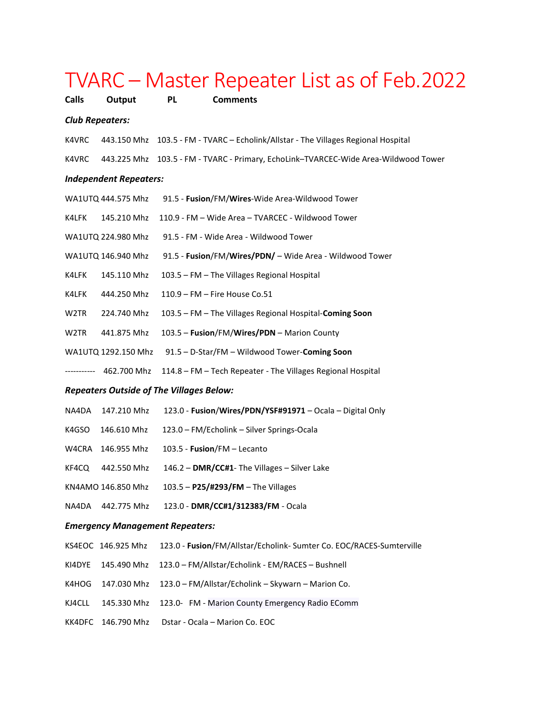| TVARC – Master Repeater List as of Feb.2022                |                     |                                                                                     |  |  |  |
|------------------------------------------------------------|---------------------|-------------------------------------------------------------------------------------|--|--|--|
| <b>Calls</b>                                               | Output              | <b>Comments</b><br><b>PL</b>                                                        |  |  |  |
| <b>Club Repeaters:</b>                                     |                     |                                                                                     |  |  |  |
| K4VRC                                                      |                     | 443.150 Mhz 103.5 - FM - TVARC - Echolink/Allstar - The Villages Regional Hospital  |  |  |  |
| K4VRC                                                      |                     | 443.225 Mhz 103.5 - FM - TVARC - Primary, EchoLink-TVARCEC-Wide Area-Wildwood Tower |  |  |  |
| <b>Independent Repeaters:</b>                              |                     |                                                                                     |  |  |  |
|                                                            | WA1UTQ 444.575 Mhz  | 91.5 - Fusion/FM/Wires-Wide Area-Wildwood Tower                                     |  |  |  |
| K4LFK                                                      | 145.210 Mhz         | 110.9 - FM - Wide Area - TVARCEC - Wildwood Tower                                   |  |  |  |
|                                                            | WA1UTQ 224.980 Mhz  | 91.5 - FM - Wide Area - Wildwood Tower                                              |  |  |  |
|                                                            | WA1UTQ 146.940 Mhz  | 91.5 - Fusion/FM/Wires/PDN/ - Wide Area - Wildwood Tower                            |  |  |  |
| K4LFK                                                      | 145.110 Mhz         | 103.5 - FM - The Villages Regional Hospital                                         |  |  |  |
| K4LFK                                                      | 444.250 Mhz         | 110.9 - FM - Fire House Co.51                                                       |  |  |  |
| W <sub>2</sub> TR                                          | 224.740 Mhz         | 103.5 - FM - The Villages Regional Hospital-Coming Soon                             |  |  |  |
| W2TR                                                       | 441.875 Mhz         | 103.5 - Fusion/FM/Wires/PDN - Marion County                                         |  |  |  |
|                                                            | WA1UTQ 1292.150 Mhz | 91.5 - D-Star/FM - Wildwood Tower-Coming Soon                                       |  |  |  |
|                                                            | 462.700 Mhz         | 114.8 - FM - Tech Repeater - The Villages Regional Hospital                         |  |  |  |
| <b>Repeaters Outside of The Villages Below:</b>            |                     |                                                                                     |  |  |  |
| NA4DA                                                      | 147.210 Mhz         | 123.0 - Fusion/Wires/PDN/YSF#91971 - Ocala - Digital Only                           |  |  |  |
| K4GSO                                                      | 146.610 Mhz         | 123.0 - FM/Echolink - Silver Springs-Ocala                                          |  |  |  |
| W4CRA                                                      | 146.955 Mhz         | 103.5 - Fusion/FM - Lecanto                                                         |  |  |  |
| KF4CQ                                                      | 442.550 Mhz         | 146.2 - DMR/CC#1- The Villages - Silver Lake                                        |  |  |  |
| 103.5 - $P25/#293/FM$ - The Villages<br>KN4AMO 146.850 Mhz |                     |                                                                                     |  |  |  |
| NA4DA                                                      | 442.775 Mhz         | 123.0 - DMR/CC#1/312383/FM - Ocala                                                  |  |  |  |
| <b>Emergency Management Repeaters:</b>                     |                     |                                                                                     |  |  |  |
|                                                            | KS4EOC 146.925 Mhz  | 123.0 - Fusion/FM/Allstar/Echolink- Sumter Co. EOC/RACES-Sumterville                |  |  |  |
| KI4DYE                                                     | 145.490 Mhz         | 123.0 - FM/Allstar/Echolink - EM/RACES - Bushnell                                   |  |  |  |
| K4HOG                                                      | 147.030 Mhz         | 123.0 - FM/Allstar/Echolink - Skywarn - Marion Co.                                  |  |  |  |
| KJ4CLL                                                     | 145.330 Mhz         | 123.0- FM - Marion County Emergency Radio EComm                                     |  |  |  |
| KK4DFC                                                     | 146.790 Mhz         | Dstar - Ocala - Marion Co. EOC                                                      |  |  |  |